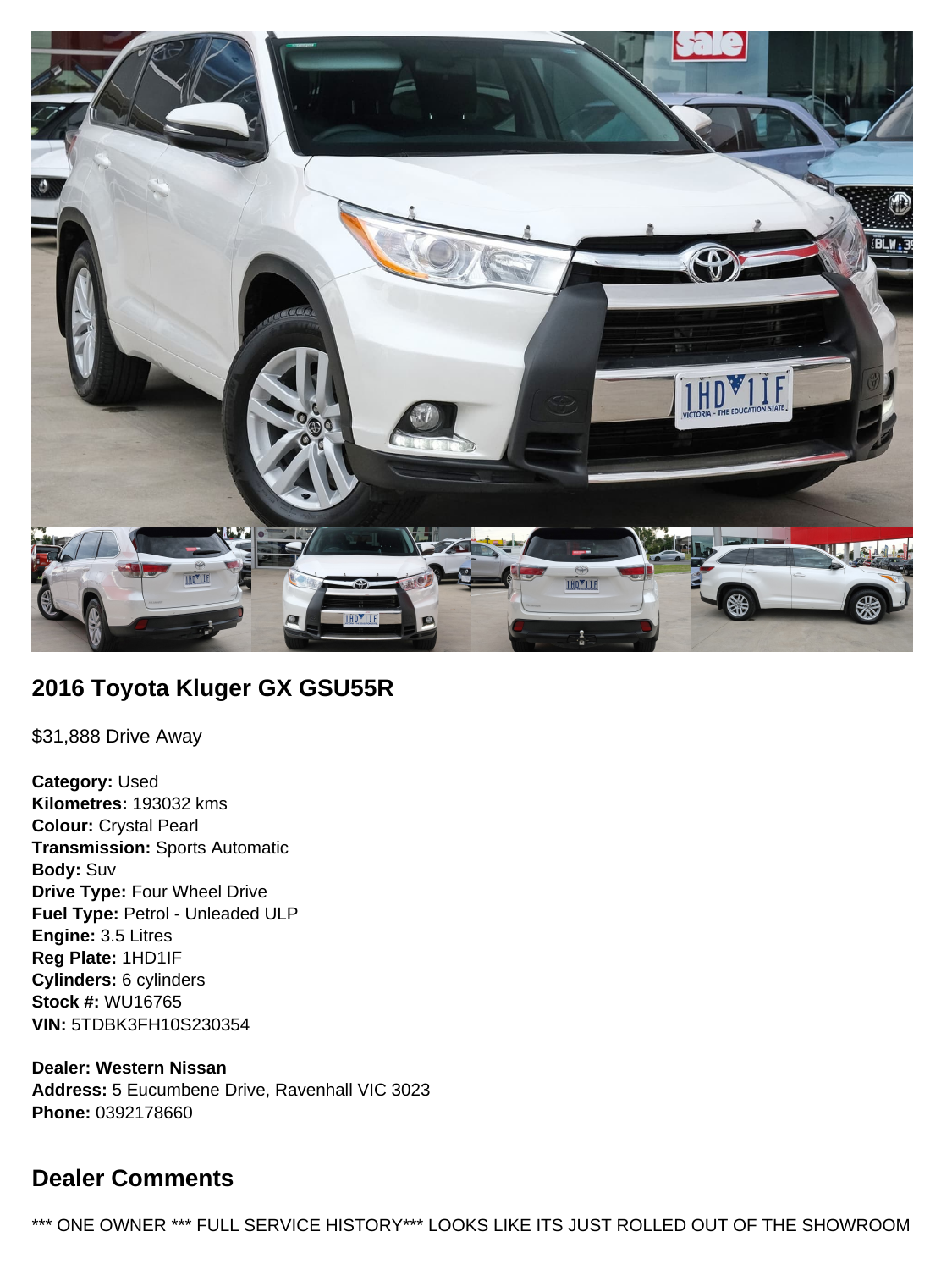

# **2016 Toyota Kluger GX GSU55R**

\$31,888 Drive Away

**Category:** Used **Kilometres:** 193032 kms **Colour:** Crystal Pearl **Transmission:** Sports Automatic **Body:** Suv **Drive Type:** Four Wheel Drive **Fuel Type:** Petrol - Unleaded ULP **Engine:** 3.5 Litres **Reg Plate:** 1HD1IF **Cylinders:** 6 cylinders **Stock #:** WU16765 **VIN:** 5TDBK3FH10S230354

**Dealer: Western Nissan Address:** 5 Eucumbene Drive, Ravenhall VIC 3023 **Phone:** 0392178660

# **Dealer Comments**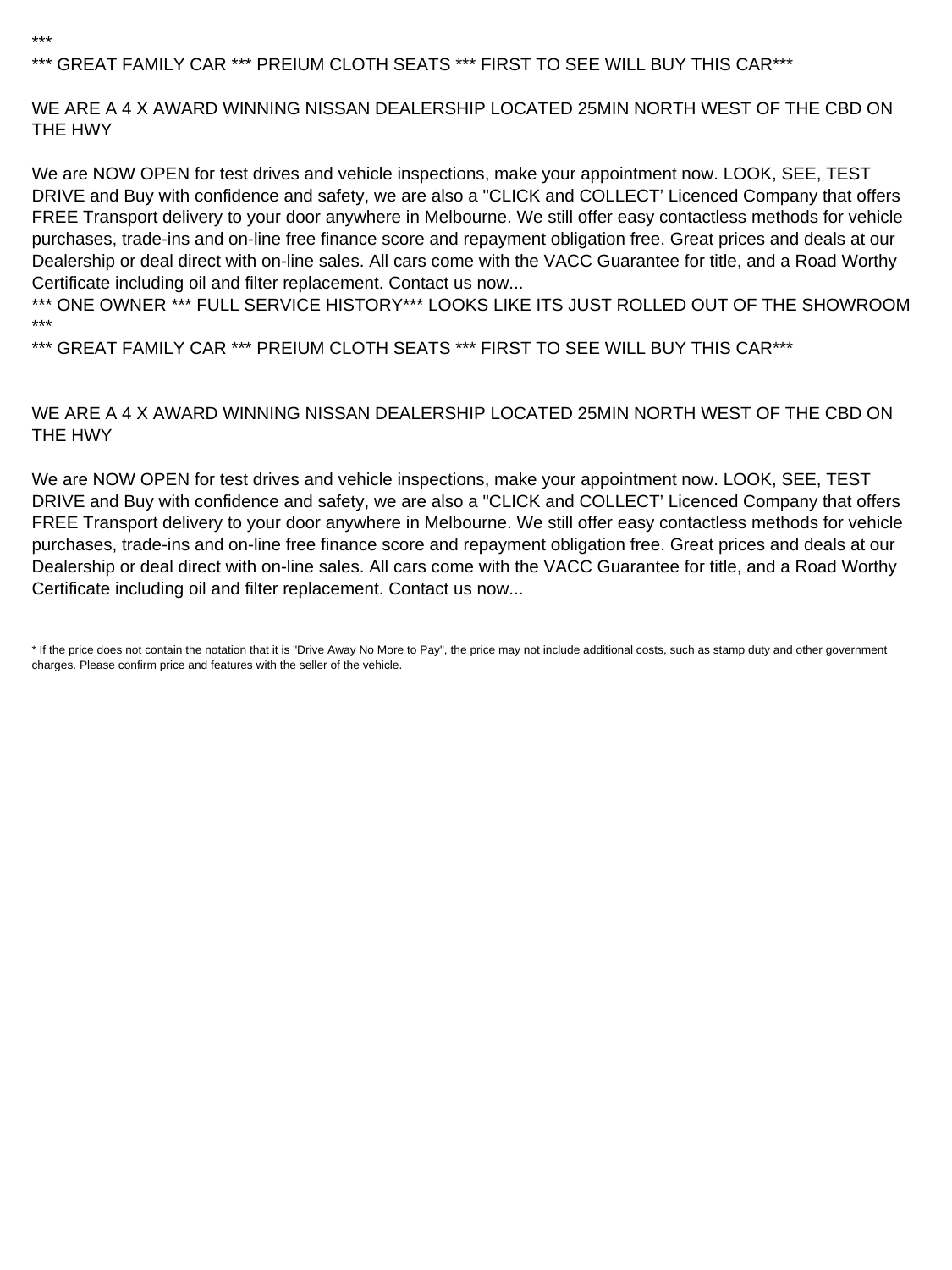## \*\*\* GREAT FAMILY CAR \*\*\* PREIUM CLOTH SEATS \*\*\* FIRST TO SEE WILL BUY THIS CAR\*\*\*

\*\*\*

WE ARE A 4 X AWARD WINNING NISSAN DEALERSHIP LOCATED 25MIN NORTH WEST OF THE CBD ON THE HWY

We are NOW OPEN for test drives and vehicle inspections, make your appointment now. LOOK, SEE, TEST DRIVE and Buy with confidence and safety, we are also a "CLICK and COLLECT' Licenced Company that offers FREE Transport delivery to your door anywhere in Melbourne. We still offer easy contactless methods for vehicle purchases, trade-ins and on-line free finance score and repayment obligation free. Great prices and deals at our Dealership or deal direct with on-line sales. All cars come with the VACC Guarantee for title, and a Road Worthy Certificate including oil and filter replacement. Contact us now...

\*\*\* ONE OWNER \*\*\* FULL SERVICE HISTORY\*\*\* LOOKS LIKE ITS JUST ROLLED OUT OF THE SHOWROOM \*\*\*

\*\*\* GREAT FAMILY CAR \*\*\* PREIUM CLOTH SEATS \*\*\* FIRST TO SEE WILL BUY THIS CAR\*\*\*

#### WE ARE A 4 X AWARD WINNING NISSAN DEALERSHIP LOCATED 25MIN NORTH WEST OF THE CBD ON THE HWY

We are NOW OPEN for test drives and vehicle inspections, make your appointment now. LOOK, SEE, TEST DRIVE and Buy with confidence and safety, we are also a "CLICK and COLLECT' Licenced Company that offers FREE Transport delivery to your door anywhere in Melbourne. We still offer easy contactless methods for vehicle purchases, trade-ins and on-line free finance score and repayment obligation free. Great prices and deals at our Dealership or deal direct with on-line sales. All cars come with the VACC Guarantee for title, and a Road Worthy Certificate including oil and filter replacement. Contact us now...

<sup>\*</sup> If the price does not contain the notation that it is "Drive Away No More to Pay", the price may not include additional costs, such as stamp duty and other government charges. Please confirm price and features with the seller of the vehicle.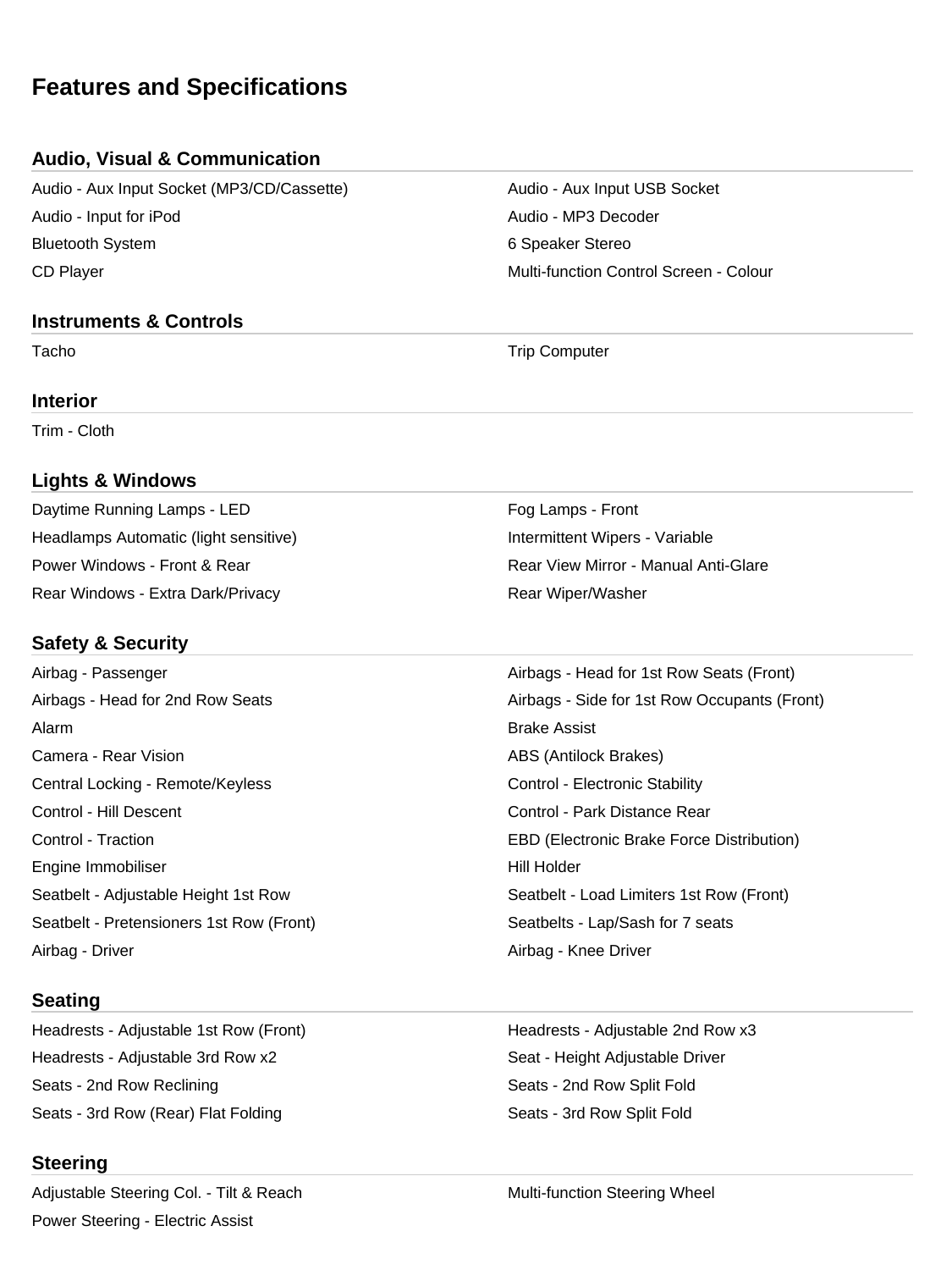# **Features and Specifications**

## **Audio, Visual & Communication**

Audio - Aux Input Socket (MP3/CD/Cassette) Audio - Aux Input USB Socket Audio - Input for iPod Audio - MP3 Decoder Bluetooth System **6 Speaker Stereo** 6 Speaker Stereo CD Player Multi-function Control Screen - Colour

## **Instruments & Controls**

**Interior**

Trim - Cloth

## **Lights & Windows**

Daytime Running Lamps - LED Fog Lamps - Front Headlamps Automatic (light sensitive) **Intermittent Wipers - Variable** Intermittent Wipers - Variable Power Windows - Front & Rear **Rear Rear Rear View Mirror - Manual Anti-Glare** Rear Windows - Extra Dark/Privacy **Rear Windows** - Extra Dark/Privacy

## **Safety & Security**

Alarm Brake Assist Camera - Rear Vision **ABS** (Antilock Brakes) Central Locking - Remote/Keyless Control - Electronic Stability Control - Hill Descent Control - Park Distance Rear Engine Immobiliser National According to the Hill Holder Seatbelt - Pretensioners 1st Row (Front) Seatbelts - Lap/Sash for 7 seats Airbag - Driver **Airbag - Knee Driver** Airbag - Knee Driver

## **Seating**

Headrests - Adjustable 3rd Row x2 Seat - Height Adjustable Driver Seats - 2nd Row Reclining Seats - 2nd Row Split Fold Seats - 3rd Row (Rear) Flat Folding Seats - 3rd Row Split Fold

## **Steering**

Adjustable Steering Col. - Tilt & Reach Multi-function Steering Wheel Power Steering - Electric Assist

Tacho **Trip Computer** Trip Computer

Airbag - Passenger Airbags - Head for 1st Row Seats (Front) Airbags - Head for 2nd Row Seats Airbags - Side for 1st Row Occupants (Front) Control - Traction EBD (Electronic Brake Force Distribution) Seatbelt - Adjustable Height 1st Row Seatbelt - Load Limiters 1st Row (Front)

Headrests - Adjustable 1st Row (Front) The Meadrests - Adjustable 2nd Row x3